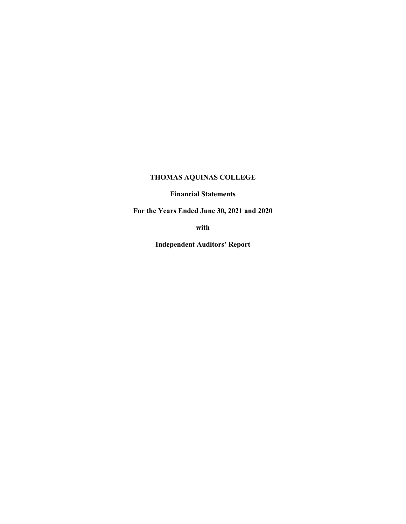# **THOMAS AQUINAS COLLEGE**

# **Financial Statements**

**For the Years Ended June 30, 2021 and 2020**

**with**

**Independent Auditors' Report**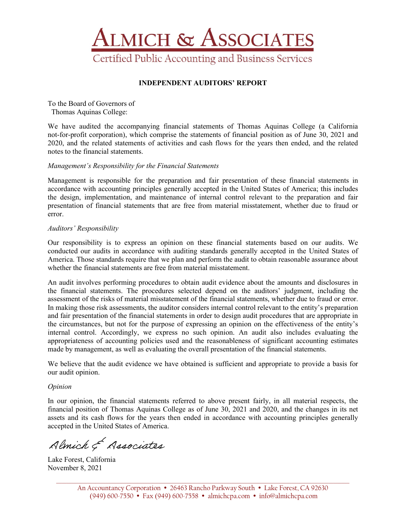

# **INDEPENDENT AUDITORS' REPORT**

To the Board of Governors of Thomas Aquinas College:

We have audited the accompanying financial statements of Thomas Aquinas College (a California not-for-profit corporation), which comprise the statements of financial position as of June 30, 2021 and 2020, and the related statements of activities and cash flows for the years then ended, and the related notes to the financial statements.

# *Management's Responsibility for the Financial Statements*

Management is responsible for the preparation and fair presentation of these financial statements in accordance with accounting principles generally accepted in the United States of America; this includes the design, implementation, and maintenance of internal control relevant to the preparation and fair presentation of financial statements that are free from material misstatement, whether due to fraud or error.

# *Auditors' Responsibility*

Our responsibility is to express an opinion on these financial statements based on our audits. We conducted our audits in accordance with auditing standards generally accepted in the United States of America. Those standards require that we plan and perform the audit to obtain reasonable assurance about whether the financial statements are free from material misstatement.

An audit involves performing procedures to obtain audit evidence about the amounts and disclosures in the financial statements. The procedures selected depend on the auditors' judgment, including the assessment of the risks of material misstatement of the financial statements, whether due to fraud or error. In making those risk assessments, the auditor considers internal control relevant to the entity's preparation and fair presentation of the financial statements in order to design audit procedures that are appropriate in the circumstances, but not for the purpose of expressing an opinion on the effectiveness of the entity's internal control. Accordingly, we express no such opinion. An audit also includes evaluating the appropriateness of accounting policies used and the reasonableness of significant accounting estimates made by management, as well as evaluating the overall presentation of the financial statements.

We believe that the audit evidence we have obtained is sufficient and appropriate to provide a basis for our audit opinion.

# *Opinion*

In our opinion, the financial statements referred to above present fairly, in all material respects, the financial position of Thomas Aquinas College as of June 30, 2021 and 2020, and the changes in its net assets and its cash flows for the years then ended in accordance with accounting principles generally accepted in the United States of America.

Almich & Associates

Lake Forest, California November 8, 2021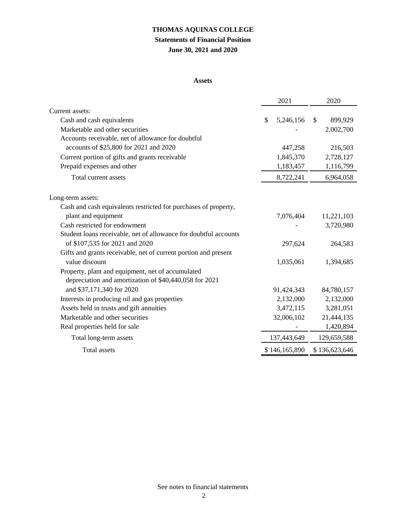# **THOMAS AQUINAS COLLEGE**

# **Statements of Financial Position**

**June 30, 2021 and 2020**

# **Assets**

|                                                                  | 2021            | 2020          |
|------------------------------------------------------------------|-----------------|---------------|
| Current assets:                                                  |                 |               |
| Cash and cash equivalents                                        | \$<br>5,246,156 | \$<br>899,929 |
| Marketable and other securities                                  |                 | 2,002,700     |
| Accounts receivable, net of allowance for doubtful               |                 |               |
| accounts of \$25,800 for 2021 and 2020                           | 447,258         | 216,503       |
| Current portion of gifts and grants receivable                   | 1,845,370       | 2,728,127     |
| Prepaid expenses and other                                       | 1,183,457       | 1,116,799     |
| Total current assets                                             | 8,722,241       | 6,964,058     |
| Long-term assets:                                                |                 |               |
| Cash and cash equivalents restricted for purchases of property,  |                 |               |
| plant and equipment                                              | 7,076,404       | 11,221,103    |
| Cash restricted for endowment                                    |                 | 3,720,980     |
| Student loans receivable, net of allowance for doubtful accounts |                 |               |
| of \$107,535 for 2021 and 2020                                   | 297,624         | 264,583       |
| Gifts and grants receivable, net of current portion and present  |                 |               |
| value discount                                                   | 1,035,061       | 1,394,685     |
| Property, plant and equipment, net of accumulated                |                 |               |
| depreciation and amortization of \$40,440,058 for 2021           |                 |               |
| and \$37,171,340 for 2020                                        | 91,424,343      | 84,780,157    |
| Interests in producing oil and gas properties                    | 2,132,000       | 2,132,000     |
| Assets held in trusts and gift annuities                         | 3,472,115       | 3,281,051     |
| Marketable and other securities                                  | 32,006,102      | 21,444,135    |
| Real properties held for sale                                    |                 | 1,420,894     |
| Total long-term assets                                           | 137,443,649     | 129,659,588   |
| <b>Total assets</b>                                              | \$146,165,890   | \$136,623,646 |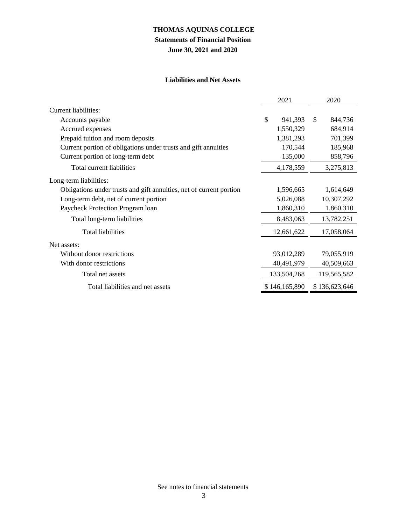# **THOMAS AQUINAS COLLEGE**

# **Statements of Financial Position**

**June 30, 2021 and 2020**

# **Liabilities and Net Assets**

|                                                                     | 2021          | 2020          |
|---------------------------------------------------------------------|---------------|---------------|
| Current liabilities:                                                |               |               |
| Accounts payable                                                    | \$<br>941,393 | \$<br>844,736 |
| Accrued expenses                                                    | 1,550,329     | 684,914       |
| Prepaid tuition and room deposits                                   | 1,381,293     | 701,399       |
| Current portion of obligations under trusts and gift annuities      | 170,544       | 185,968       |
| Current portion of long-term debt                                   | 135,000       | 858,796       |
| Total current liabilities                                           | 4,178,559     | 3,275,813     |
| Long-term liabilities:                                              |               |               |
| Obligations under trusts and gift annuities, net of current portion | 1,596,665     | 1,614,649     |
| Long-term debt, net of current portion                              | 5,026,088     | 10,307,292    |
| Paycheck Protection Program loan                                    | 1,860,310     | 1,860,310     |
| Total long-term liabilities                                         | 8,483,063     | 13,782,251    |
| <b>Total liabilities</b>                                            | 12,661,622    | 17,058,064    |
| Net assets:                                                         |               |               |
| Without donor restrictions                                          | 93,012,289    | 79,055,919    |
| With donor restrictions                                             | 40,491,979    | 40,509,663    |
| Total net assets                                                    | 133,504,268   | 119,565,582   |
| Total liabilities and net assets                                    | \$146,165,890 | \$136,623,646 |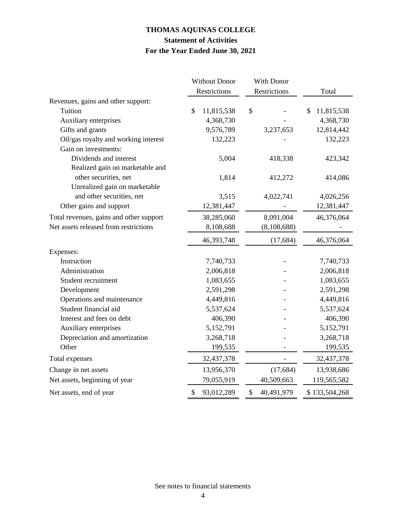# **THOMAS AQUINAS COLLEGE Statement of Activities For the Year Ended June 30, 2021**

|                                         | <b>Without Donor</b> |                  |                  |  |
|-----------------------------------------|----------------------|------------------|------------------|--|
|                                         | Restrictions         | Restrictions     | Total            |  |
| Revenues, gains and other support:      |                      |                  |                  |  |
| Tuition                                 | \$<br>11,815,538     | \$               | \$<br>11,815,538 |  |
| Auxiliary enterprises                   | 4,368,730            |                  | 4,368,730        |  |
| Gifts and grants                        | 9,576,789            | 3,237,653        | 12,814,442       |  |
| Oil/gas royalty and working interest    | 132,223              |                  | 132,223          |  |
| Gain on investments:                    |                      |                  |                  |  |
| Dividends and interest                  | 5,004                | 418,338          | 423,342          |  |
| Realized gain on marketable and         |                      |                  |                  |  |
| other securities, net                   | 1,814                | 412,272          | 414,086          |  |
| Unrealized gain on marketable           |                      |                  |                  |  |
| and other securities, net               | 3,515                | 4,022,741        | 4,026,256        |  |
| Other gains and support                 | 12,381,447           |                  | 12,381,447       |  |
| Total revenues, gains and other support | 38,285,060           | 8,091,004        | 46,376,064       |  |
| Net assets released from restrictions   | 8,108,688            | (8,108,688)      |                  |  |
|                                         | 46,393,748           | (17,684)         | 46,376,064       |  |
| Expenses:                               |                      |                  |                  |  |
| Instruction                             | 7,740,733            |                  | 7,740,733        |  |
| Administration                          | 2,006,818            |                  | 2,006,818        |  |
| Student recruitment                     | 1,083,655            |                  | 1,083,655        |  |
| Development                             | 2,591,298            |                  | 2,591,298        |  |
| Operations and maintenance              | 4,449,816            |                  | 4,449,816        |  |
| Student financial aid                   | 5,537,624            |                  | 5,537,624        |  |
| Interest and fees on debt               | 406,390              |                  | 406,390          |  |
| Auxiliary enterprises                   | 5,152,791            |                  | 5,152,791        |  |
| Depreciation and amortization           | 3,268,718            |                  | 3,268,718        |  |
| Other                                   | 199,535              |                  | 199,535          |  |
| Total expenses                          | 32,437,378           |                  | 32,437,378       |  |
| Change in net assets                    | 13,956,370           | (17, 684)        | 13,938,686       |  |
| Net assets, beginning of year           | 79,055,919           | 40,509,663       | 119,565,582      |  |
| Net assets, end of year                 | 93,012,289<br>\$     | \$<br>40,491,979 | \$133,504,268    |  |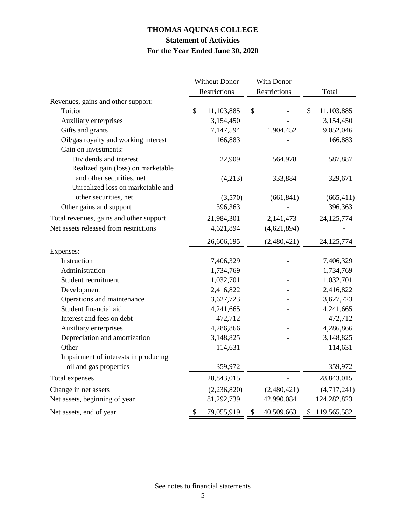# **THOMAS AQUINAS COLLEGE Statement of Activities For the Year Ended June 30, 2020**

|                                         | <b>Without Donor</b> | With Donor       |                   |
|-----------------------------------------|----------------------|------------------|-------------------|
|                                         | Restrictions         | Restrictions     | Total             |
| Revenues, gains and other support:      |                      |                  |                   |
| Tuition                                 | \$<br>11,103,885     | \$               | \$<br>11,103,885  |
| Auxiliary enterprises                   | 3,154,450            |                  | 3,154,450         |
| Gifts and grants                        | 7,147,594            | 1,904,452        | 9,052,046         |
| Oil/gas royalty and working interest    | 166,883              |                  | 166,883           |
| Gain on investments:                    |                      |                  |                   |
| Dividends and interest                  | 22,909               | 564,978          | 587,887           |
| Realized gain (loss) on marketable      |                      |                  |                   |
| and other securities, net               | (4,213)              | 333,884          | 329,671           |
| Unrealized loss on marketable and       |                      |                  |                   |
| other securities, net                   | (3,570)              | (661, 841)       | (665, 411)        |
| Other gains and support                 | 396,363              |                  | 396,363           |
| Total revenues, gains and other support | 21,984,301           | 2,141,473        | 24, 125, 774      |
| Net assets released from restrictions   | 4,621,894            | (4,621,894)      |                   |
|                                         | 26,606,195           | (2,480,421)      | 24, 125, 774      |
| Expenses:                               |                      |                  |                   |
| Instruction                             | 7,406,329            |                  | 7,406,329         |
| Administration                          | 1,734,769            |                  | 1,734,769         |
| Student recruitment                     | 1,032,701            |                  | 1,032,701         |
| Development                             | 2,416,822            |                  | 2,416,822         |
| Operations and maintenance              | 3,627,723            |                  | 3,627,723         |
| Student financial aid                   | 4,241,665            |                  | 4,241,665         |
| Interest and fees on debt               | 472,712              |                  | 472,712           |
| Auxiliary enterprises                   | 4,286,866            |                  | 4,286,866         |
| Depreciation and amortization           | 3,148,825            |                  | 3,148,825         |
| Other                                   | 114,631              |                  | 114,631           |
| Impairment of interests in producing    |                      |                  |                   |
| oil and gas properties                  | 359,972              |                  | 359,972           |
| Total expenses                          | 28,843,015           |                  | 28,843,015        |
| Change in net assets                    | (2, 236, 820)        | (2,480,421)      | (4,717,241)       |
| Net assets, beginning of year           | 81,292,739           | 42,990,084       | 124,282,823       |
| Net assets, end of year                 | \$<br>79,055,919     | \$<br>40,509,663 | \$<br>119,565,582 |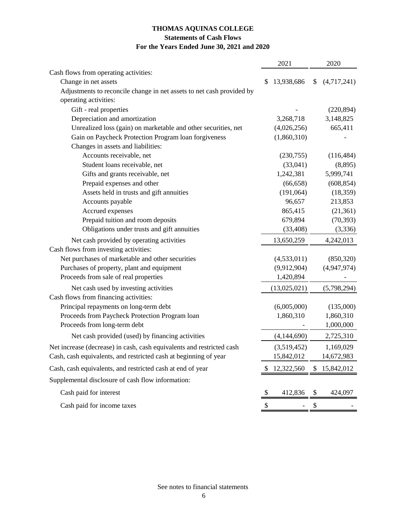# **THOMAS AQUINAS COLLEGE Statements of Cash Flows For the Years Ended June 30, 2021 and 2020**

|                                                                       |    | 2021          | 2020              |
|-----------------------------------------------------------------------|----|---------------|-------------------|
| Cash flows from operating activities:                                 |    |               |                   |
| Change in net assets                                                  | \$ | 13,938,686    | \$<br>(4,717,241) |
| Adjustments to reconcile change in net assets to net cash provided by |    |               |                   |
| operating activities:                                                 |    |               |                   |
| Gift - real properties                                                |    |               | (220, 894)        |
| Depreciation and amortization                                         |    | 3,268,718     | 3,148,825         |
| Unrealized loss (gain) on marketable and other securities, net        |    | (4,026,256)   | 665,411           |
| Gain on Paycheck Protection Program loan forgiveness                  |    | (1,860,310)   |                   |
| Changes in assets and liabilities:                                    |    |               |                   |
| Accounts receivable, net                                              |    | (230,755)     | (116, 484)        |
| Student loans receivable, net                                         |    | (33,041)      | (8,895)           |
| Gifts and grants receivable, net                                      |    | 1,242,381     | 5,999,741         |
| Prepaid expenses and other                                            |    | (66, 658)     | (608, 854)        |
| Assets held in trusts and gift annuities                              |    | (191,064)     | (18, 359)         |
| Accounts payable                                                      |    | 96,657        | 213,853           |
| Accrued expenses                                                      |    | 865,415       | (21, 361)         |
| Prepaid tuition and room deposits                                     |    | 679,894       | (70, 393)         |
| Obligations under trusts and gift annuities                           |    | (33, 408)     | (3, 336)          |
| Net cash provided by operating activities                             |    | 13,650,259    | 4,242,013         |
| Cash flows from investing activities:                                 |    |               |                   |
| Net purchases of marketable and other securities                      |    | (4, 533, 011) | (850, 320)        |
| Purchases of property, plant and equipment                            |    | (9,912,904)   | (4,947,974)       |
| Proceeds from sale of real properties                                 |    | 1,420,894     |                   |
| Net cash used by investing activities                                 |    | (13,025,021)  | (5,798,294)       |
| Cash flows from financing activities:                                 |    |               |                   |
| Principal repayments on long-term debt                                |    | (6,005,000)   | (135,000)         |
| Proceeds from Paycheck Protection Program loan                        |    | 1,860,310     | 1,860,310         |
| Proceeds from long-term debt                                          |    |               | 1,000,000         |
| Net cash provided (used) by financing activities                      |    | (4,144,690)   | 2,725,310         |
| Net increase (decrease) in cash, cash equivalents and restricted cash |    | (3,519,452)   | 1,169,029         |
| Cash, cash equivalents, and restricted cash at beginning of year      |    | 15,842,012    | 14,672,983        |
| Cash, cash equivalents, and restricted cash at end of year            | S  | 12,322,560    | \$<br>15,842,012  |
| Supplemental disclosure of cash flow information:                     |    |               |                   |
| Cash paid for interest                                                | \$ | 412,836       | \$<br>424,097     |
| Cash paid for income taxes                                            | \$ |               | \$                |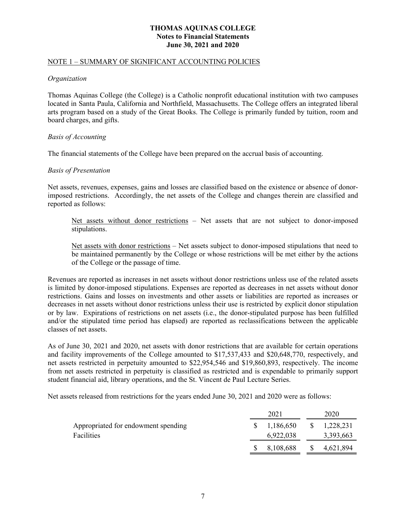#### **THOMAS AQUINAS COLLEGE Notes to Financial Statements June 30, 2021 and 2020**

## NOTE 1 – SUMMARY OF SIGNIFICANT ACCOUNTING POLICIES

#### *Organization*

Thomas Aquinas College (the College) is a Catholic nonprofit educational institution with two campuses located in Santa Paula, California and Northfield, Massachusetts. The College offers an integrated liberal arts program based on a study of the Great Books. The College is primarily funded by tuition, room and board charges, and gifts.

#### *Basis of Accounting*

The financial statements of the College have been prepared on the accrual basis of accounting.

#### *Basis of Presentation*

Net assets, revenues, expenses, gains and losses are classified based on the existence or absence of donorimposed restrictions. Accordingly, the net assets of the College and changes therein are classified and reported as follows:

Net assets without donor restrictions - Net assets that are not subject to donor-imposed stipulations.

Net assets with donor restrictions – Net assets subject to donor-imposed stipulations that need to be maintained permanently by the College or whose restrictions will be met either by the actions of the College or the passage of time.

Revenues are reported as increases in net assets without donor restrictions unless use of the related assets is limited by donor-imposed stipulations. Expenses are reported as decreases in net assets without donor restrictions. Gains and losses on investments and other assets or liabilities are reported as increases or decreases in net assets without donor restrictions unless their use is restricted by explicit donor stipulation or by law. Expirations of restrictions on net assets (i.e., the donor-stipulated purpose has been fulfilled and/or the stipulated time period has elapsed) are reported as reclassifications between the applicable classes of net assets.

As of June 30, 2021 and 2020, net assets with donor restrictions that are available for certain operations and facility improvements of the College amounted to \$17,537,433 and \$20,648,770, respectively, and net assets restricted in perpetuity amounted to \$22,954,546 and \$19,860,893, respectively. The income from net assets restricted in perpetuity is classified as restricted and is expendable to primarily support student financial aid, library operations, and the St. Vincent de Paul Lecture Series.

Net assets released from restrictions for the years ended June 30, 2021 and 2020 were as follows:

|                                     | 2021      | 2020      |
|-------------------------------------|-----------|-----------|
| Appropriated for endowment spending | 1,186,650 | 1,228,231 |
| Facilities                          | 6,922,038 | 3,393,663 |
|                                     | 8,108,688 | 4,621,894 |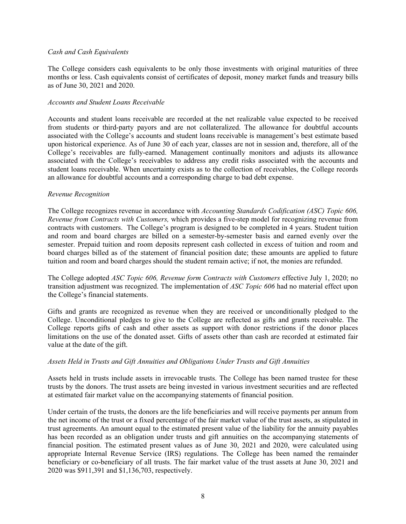## *Cash and Cash Equivalents*

The College considers cash equivalents to be only those investments with original maturities of three months or less. Cash equivalents consist of certificates of deposit, money market funds and treasury bills as of June 30, 2021 and 2020.

#### *Accounts and Student Loans Receivable*

Accounts and student loans receivable are recorded at the net realizable value expected to be received from students or third-party payors and are not collateralized. The allowance for doubtful accounts associated with the College's accounts and student loans receivable is management's best estimate based upon historical experience. As of June 30 of each year, classes are not in session and, therefore, all of the College's receivables are fully-earned. Management continually monitors and adjusts its allowance associated with the College's receivables to address any credit risks associated with the accounts and student loans receivable. When uncertainty exists as to the collection of receivables, the College records an allowance for doubtful accounts and a corresponding charge to bad debt expense.

#### *Revenue Recognition*

The College recognizes revenue in accordance with *Accounting Standards Codification (ASC) Topic 606, Revenue from Contracts with Customers,* which provides a five-step model for recognizing revenue from contracts with customers. The College's program is designed to be completed in 4 years. Student tuition and room and board charges are billed on a semester-by-semester basis and earned evenly over the semester. Prepaid tuition and room deposits represent cash collected in excess of tuition and room and board charges billed as of the statement of financial position date; these amounts are applied to future tuition and room and board charges should the student remain active; if not, the monies are refunded.

The College adopted *ASC Topic 606, Revenue form Contracts with Customers* effective July 1, 2020; no transition adjustment was recognized. The implementation of *ASC Topic 606* had no material effect upon the College's financial statements.

Gifts and grants are recognized as revenue when they are received or unconditionally pledged to the College. Unconditional pledges to give to the College are reflected as gifts and grants receivable. The College reports gifts of cash and other assets as support with donor restrictions if the donor places limitations on the use of the donated asset. Gifts of assets other than cash are recorded at estimated fair value at the date of the gift.

# *Assets Held in Trusts and Gift Annuities and Obligations Under Trusts and Gift Annuities*

Assets held in trusts include assets in irrevocable trusts. The College has been named trustee for these trusts by the donors. The trust assets are being invested in various investment securities and are reflected at estimated fair market value on the accompanying statements of financial position.

Under certain of the trusts, the donors are the life beneficiaries and will receive payments per annum from the net income of the trust or a fixed percentage of the fair market value of the trust assets, as stipulated in trust agreements. An amount equal to the estimated present value of the liability for the annuity payables has been recorded as an obligation under trusts and gift annuities on the accompanying statements of financial position. The estimated present values as of June 30, 2021 and 2020, were calculated using appropriate Internal Revenue Service (IRS) regulations. The College has been named the remainder beneficiary or co-beneficiary of all trusts. The fair market value of the trust assets at June 30, 2021 and 2020 was \$911,391 and \$1,136,703, respectively.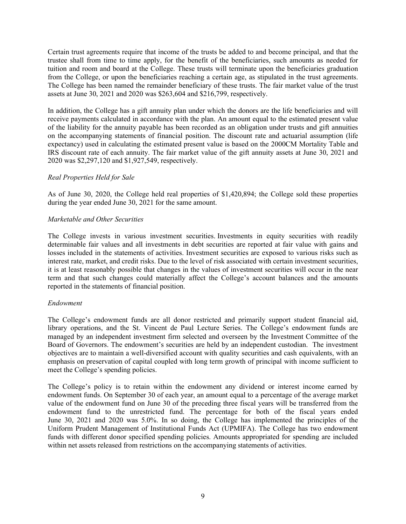Certain trust agreements require that income of the trusts be added to and become principal, and that the trustee shall from time to time apply, for the benefit of the beneficiaries, such amounts as needed for tuition and room and board at the College. These trusts will terminate upon the beneficiaries graduation from the College, or upon the beneficiaries reaching a certain age, as stipulated in the trust agreements. The College has been named the remainder beneficiary of these trusts. The fair market value of the trust assets at June 30, 2021 and 2020 was \$263,604 and \$216,799, respectively.

In addition, the College has a gift annuity plan under which the donors are the life beneficiaries and will receive payments calculated in accordance with the plan. An amount equal to the estimated present value of the liability for the annuity payable has been recorded as an obligation under trusts and gift annuities on the accompanying statements of financial position. The discount rate and actuarial assumption (life expectancy) used in calculating the estimated present value is based on the 2000CM Mortality Table and IRS discount rate of each annuity. The fair market value of the gift annuity assets at June 30, 2021 and 2020 was \$2,297,120 and \$1,927,549, respectively.

# *Real Properties Held for Sale*

As of June 30, 2020, the College held real properties of \$1,420,894; the College sold these properties during the year ended June 30, 2021 for the same amount.

# *Marketable and Other Securities*

The College invests in various investment securities. Investments in equity securities with readily determinable fair values and all investments in debt securities are reported at fair value with gains and losses included in the statements of activities. Investment securities are exposed to various risks such as interest rate, market, and credit risks. Due to the level of risk associated with certain investment securities, it is at least reasonably possible that changes in the values of investment securities will occur in the near term and that such changes could materially affect the College's account balances and the amounts reported in the statements of financial position.

# *Endowment*

The College's endowment funds are all donor restricted and primarily support student financial aid, library operations, and the St. Vincent de Paul Lecture Series. The College's endowment funds are managed by an independent investment firm selected and overseen by the Investment Committee of the Board of Governors. The endowment's securities are held by an independent custodian. The investment objectives are to maintain a well-diversified account with quality securities and cash equivalents, with an emphasis on preservation of capital coupled with long term growth of principal with income sufficient to meet the College's spending policies.

The College's policy is to retain within the endowment any dividend or interest income earned by endowment funds. On September 30 of each year, an amount equal to a percentage of the average market value of the endowment fund on June 30 of the preceding three fiscal years will be transferred from the endowment fund to the unrestricted fund. The percentage for both of the fiscal years ended June 30, 2021 and 2020 was 5.0%. In so doing, the College has implemented the principles of the Uniform Prudent Management of Institutional Funds Act (UPMIFA). The College has two endowment funds with different donor specified spending policies. Amounts appropriated for spending are included within net assets released from restrictions on the accompanying statements of activities.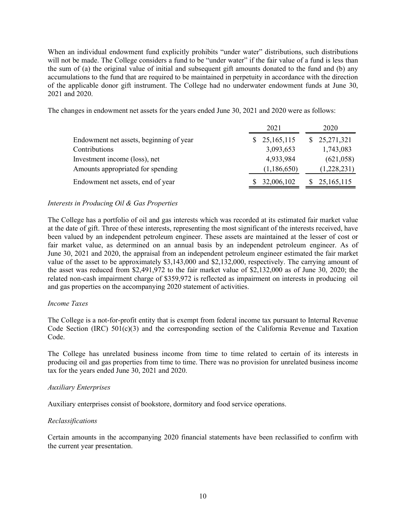When an individual endowment fund explicitly prohibits "under water" distributions, such distributions will not be made. The College considers a fund to be "under water" if the fair value of a fund is less than the sum of (a) the original value of initial and subsequent gift amounts donated to the fund and (b) any accumulations to the fund that are required to be maintained in perpetuity in accordance with the direction of the applicable donor gift instrument. The College had no underwater endowment funds at June 30, 2021 and 2020.

The changes in endowment net assets for the years ended June 30, 2021 and 2020 were as follows:

|                                         | 2021             | 2020         |
|-----------------------------------------|------------------|--------------|
| Endowment net assets, beginning of year | 25,165,115<br>S. | \$25,271,321 |
| Contributions                           | 3,093,653        | 1,743,083    |
| Investment income (loss), net           | 4,933,984        | (621,058)    |
| Amounts appropriated for spending       | (1,186,650)      | (1,228,231)  |
| Endowment net assets, end of year       | 32,006,102       | 25,165,115   |

#### *Interests in Producing Oil & Gas Properties*

The College has a portfolio of oil and gas interests which was recorded at its estimated fair market value at the date of gift. Three of these interests, representing the most significant of the interests received, have been valued by an independent petroleum engineer. These assets are maintained at the lesser of cost or fair market value, as determined on an annual basis by an independent petroleum engineer. As of June 30, 2021 and 2020, the appraisal from an independent petroleum engineer estimated the fair market value of the asset to be approximately \$3,143,000 and \$2,132,000, respectively. The carrying amount of the asset was reduced from \$2,491,972 to the fair market value of \$2,132,000 as of June 30, 2020; the related non-cash impairment charge of \$359,972 is reflected as impairment on interests in producing oil and gas properties on the accompanying 2020 statement of activities.

# *Income Taxes*

The College is a not-for-profit entity that is exempt from federal income tax pursuant to Internal Revenue Code Section (IRC)  $501(c)(3)$  and the corresponding section of the California Revenue and Taxation Code.

The College has unrelated business income from time to time related to certain of its interests in producing oil and gas properties from time to time. There was no provision for unrelated business income tax for the years ended June 30, 2021 and 2020.

#### *Auxiliary Enterprises*

Auxiliary enterprises consist of bookstore, dormitory and food service operations.

# *Reclassifications*

Certain amounts in the accompanying 2020 financial statements have been reclassified to confirm with the current year presentation.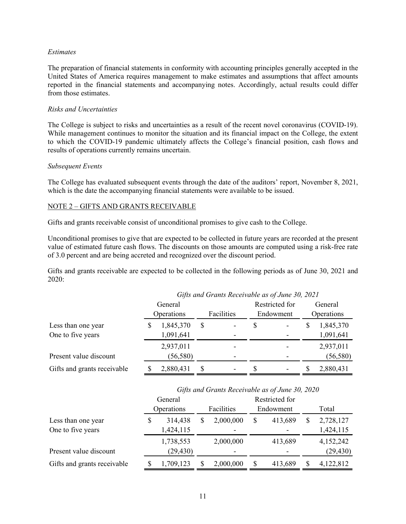## *Estimates*

The preparation of financial statements in conformity with accounting principles generally accepted in the United States of America requires management to make estimates and assumptions that affect amounts reported in the financial statements and accompanying notes. Accordingly, actual results could differ from those estimates.

## *Risks and Uncertainties*

The College is subject to risks and uncertainties as a result of the recent novel coronavirus (COVID-19). While management continues to monitor the situation and its financial impact on the College, the extent to which the COVID-19 pandemic ultimately affects the College's financial position, cash flows and results of operations currently remains uncertain.

#### *Subsequent Events*

The College has evaluated subsequent events through the date of the auditors' report, November 8, 2021, which is the date the accompanying financial statements were available to be issued.

#### NOTE 2 – GIFTS AND GRANTS RECEIVABLE

Gifts and grants receivable consist of unconditional promises to give cash to the College.

Unconditional promises to give that are expected to be collected in future years are recorded at the present value of estimated future cash flows. The discounts on those amounts are computed using a risk-free rate of 3.0 percent and are being accreted and recognized over the discount period.

Gifts and grants receivable are expected to be collected in the following periods as of June 30, 2021 and 2020:

|                             | Gifts and Grants Receivable as of June 30, 2021 |            |   |  |                |                          |   |            |  |           |  |            |
|-----------------------------|-------------------------------------------------|------------|---|--|----------------|--------------------------|---|------------|--|-----------|--|------------|
|                             | General                                         |            |   |  | Restricted for |                          |   | General    |  |           |  |            |
|                             |                                                 | Operations |   |  |                |                          |   | Facilities |  | Endowment |  | Operations |
| Less than one year          |                                                 | 1,845,370  | S |  |                |                          | S | 1,845,370  |  |           |  |            |
| One to five years           |                                                 | 1,091,641  |   |  |                |                          |   | 1,091,641  |  |           |  |            |
|                             |                                                 | 2,937,011  |   |  |                |                          |   | 2,937,011  |  |           |  |            |
| Present value discount      |                                                 | (56, 580)  |   |  |                |                          |   | (56, 580)  |  |           |  |            |
| Gifts and grants receivable |                                                 | 2,880,431  | S |  |                | $\overline{\phantom{a}}$ |   | 2,880,431  |  |           |  |            |

| Gifts and Grants Receivable as of June 30, 2020 |  |
|-------------------------------------------------|--|

|                             |   | General    |   |                          |  | Restricted for |   |           |  |  |
|-----------------------------|---|------------|---|--------------------------|--|----------------|---|-----------|--|--|
|                             |   | Operations |   | Facilities               |  | Endowment      |   | Total     |  |  |
| Less than one year          | S | 314,438    | S | 2,000,000                |  | 413,689        | S | 2,728,127 |  |  |
| One to five years           |   | 1,424,115  |   |                          |  |                |   | 1,424,115 |  |  |
|                             |   | 1,738,553  |   | 2,000,000                |  | 413,689        |   | 4,152,242 |  |  |
| Present value discount      |   | (29, 430)  |   | $\overline{\phantom{0}}$ |  |                |   | (29, 430) |  |  |
| Gifts and grants receivable |   | 1,709,123  |   | 2,000,000                |  | 413,689        |   | 4,122,812 |  |  |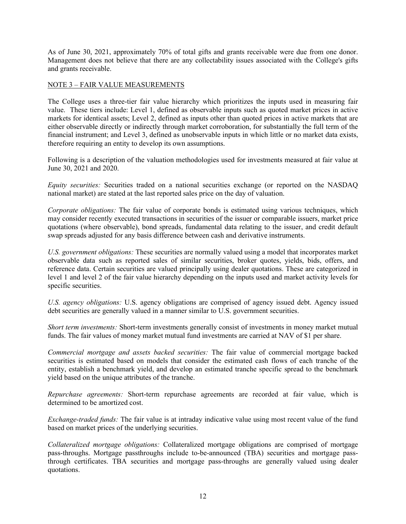As of June 30, 2021, approximately 70% of total gifts and grants receivable were due from one donor. Management does not believe that there are any collectability issues associated with the College's gifts and grants receivable.

# NOTE 3 – FAIR VALUE MEASUREMENTS

The College uses a three-tier fair value hierarchy which prioritizes the inputs used in measuring fair value. These tiers include: Level 1, defined as observable inputs such as quoted market prices in active markets for identical assets; Level 2, defined as inputs other than quoted prices in active markets that are either observable directly or indirectly through market corroboration, for substantially the full term of the financial instrument; and Level 3, defined as unobservable inputs in which little or no market data exists, therefore requiring an entity to develop its own assumptions.

Following is a description of the valuation methodologies used for investments measured at fair value at June 30, 2021 and 2020.

*Equity securities:* Securities traded on a national securities exchange (or reported on the NASDAQ national market) are stated at the last reported sales price on the day of valuation.

*Corporate obligations:* The fair value of corporate bonds is estimated using various techniques, which may consider recently executed transactions in securities of the issuer or comparable issuers, market price quotations (where observable), bond spreads, fundamental data relating to the issuer, and credit default swap spreads adjusted for any basis difference between cash and derivative instruments.

*U.S. government obligations:* These securities are normally valued using a model that incorporates market observable data such as reported sales of similar securities, broker quotes, yields, bids, offers, and reference data. Certain securities are valued principally using dealer quotations. These are categorized in level 1 and level 2 of the fair value hierarchy depending on the inputs used and market activity levels for specific securities.

*U.S. agency obligations:* U.S. agency obligations are comprised of agency issued debt. Agency issued debt securities are generally valued in a manner similar to U.S. government securities.

*Short term investments:* Short-term investments generally consist of investments in money market mutual funds. The fair values of money market mutual fund investments are carried at NAV of \$1 per share.

*Commercial mortgage and assets backed securities:* The fair value of commercial mortgage backed securities is estimated based on models that consider the estimated cash flows of each tranche of the entity, establish a benchmark yield, and develop an estimated tranche specific spread to the benchmark yield based on the unique attributes of the tranche.

*Repurchase agreements:* Short-term repurchase agreements are recorded at fair value, which is determined to be amortized cost.

*Exchange-traded funds:* The fair value is at intraday indicative value using most recent value of the fund based on market prices of the underlying securities.

*Collateralized mortgage obligations:* Collateralized mortgage obligations are comprised of mortgage pass-throughs. Mortgage passthroughs include to-be-announced (TBA) securities and mortgage passthrough certificates. TBA securities and mortgage pass-throughs are generally valued using dealer quotations.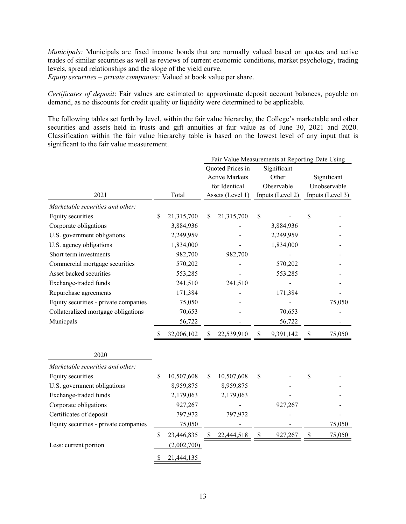*Municipals:* Municipals are fixed income bonds that are normally valued based on quotes and active trades of similar securities as well as reviews of current economic conditions, market psychology, trading levels, spread relationships and the slope of the yield curve.

*Equity securities – private companies:* Valued at book value per share.

*Certificates of deposit*: Fair values are estimated to approximate deposit account balances, payable on demand, as no discounts for credit quality or liquidity were determined to be applicable.

The following tables set forth by level, within the fair value hierarchy, the College's marketable and other securities and assets held in trusts and gift annuities at fair value as of June 30, 2021 and 2020. Classification within the fair value hierarchy table is based on the lowest level of any input that is significant to the fair value measurement.

|                                       |                  | Fair Value Measurements at Reporting Date Using |                  |       |                  |    |                  |  |
|---------------------------------------|------------------|-------------------------------------------------|------------------|-------|------------------|----|------------------|--|
|                                       |                  |                                                 | Quoted Prices in |       |                  |    |                  |  |
|                                       |                  | <b>Active Markets</b>                           |                  | Other |                  |    | Significant      |  |
|                                       |                  |                                                 | for Identical    |       | Observable       |    | Unobservable     |  |
| 2021                                  | Total            |                                                 | Assets (Level 1) |       | Inputs (Level 2) |    | Inputs (Level 3) |  |
| Marketable securities and other:      |                  |                                                 |                  |       |                  |    |                  |  |
| <b>Equity securities</b>              | \$<br>21,315,700 | \$                                              | 21,315,700       | \$    |                  | \$ |                  |  |
| Corporate obligations                 | 3,884,936        |                                                 |                  |       | 3,884,936        |    |                  |  |
| U.S. government obligations           | 2,249,959        |                                                 |                  |       | 2,249,959        |    |                  |  |
| U.S. agency obligations               | 1,834,000        |                                                 |                  |       | 1,834,000        |    |                  |  |
| Short term investments                | 982,700          |                                                 | 982,700          |       |                  |    |                  |  |
| Commercial mortgage securities        | 570,202          |                                                 |                  |       | 570,202          |    |                  |  |
| Asset backed securities               | 553,285          |                                                 |                  |       | 553,285          |    |                  |  |
| Exchange-traded funds                 | 241,510          |                                                 | 241,510          |       |                  |    |                  |  |
| Repurchase agreements                 | 171,384          |                                                 |                  |       | 171,384          |    |                  |  |
| Equity securities - private companies | 75,050           |                                                 |                  |       |                  |    | 75,050           |  |
| Collateralized mortgage obligations   | 70,653           |                                                 |                  |       | 70,653           |    |                  |  |
| Municpals                             | 56,722           |                                                 |                  |       | 56,722           |    |                  |  |
|                                       | 32,006,102       | \$                                              | 22,539,910       | \$    | 9,391,142        | S  | 75,050           |  |
| 2020                                  |                  |                                                 |                  |       |                  |    |                  |  |
| Marketable securities and other:      |                  |                                                 |                  |       |                  |    |                  |  |
| <b>Equity securities</b>              | \$<br>10,507,608 | S                                               | 10,507,608       | \$    |                  | \$ |                  |  |
| U.S. government obligations           | 8,959,875        |                                                 | 8,959,875        |       |                  |    |                  |  |
| Exchange-traded funds                 | 2,179,063        |                                                 | 2,179,063        |       |                  |    |                  |  |
| Corporate obligations                 | 927,267          |                                                 |                  |       | 927,267          |    |                  |  |
| Certificates of deposit               | 797,972          |                                                 | 797,972          |       |                  |    |                  |  |
| Equity securities - private companies | 75,050           |                                                 |                  |       |                  |    | 75,050           |  |
|                                       | \$<br>23,446,835 | \$                                              | 22,444,518       | \$    | 927,267          | \$ | 75,050           |  |
| Less: current portion                 | (2,002,700)      |                                                 |                  |       |                  |    |                  |  |
|                                       | \$<br>21,444,135 |                                                 |                  |       |                  |    |                  |  |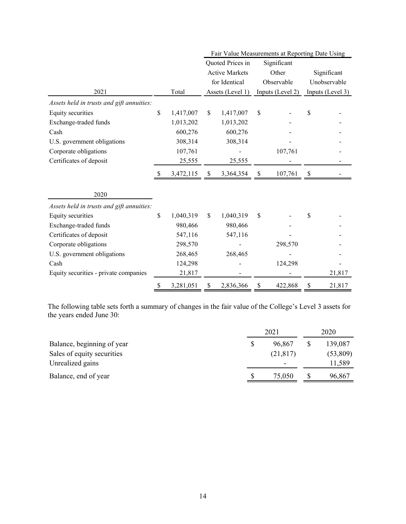|                                           |    |           | Fair Value Measurements at Reporting Date Using |                       |    |                  |    |                  |
|-------------------------------------------|----|-----------|-------------------------------------------------|-----------------------|----|------------------|----|------------------|
|                                           |    |           |                                                 | Quoted Prices in      |    | Significant      |    |                  |
|                                           |    |           |                                                 | <b>Active Markets</b> |    | Other            |    | Significant      |
|                                           |    |           |                                                 | for Identical         |    | Observable       |    | Unobservable     |
| 2021                                      |    | Total     |                                                 | Assets (Level 1)      |    | Inputs (Level 2) |    | Inputs (Level 3) |
| Assets held in trusts and gift annuities: |    |           |                                                 |                       |    |                  |    |                  |
| <b>Equity securities</b>                  | \$ | 1,417,007 | \$                                              | 1,417,007             | \$ |                  | \$ |                  |
| Exchange-traded funds                     |    | 1,013,202 |                                                 | 1,013,202             |    |                  |    |                  |
| Cash                                      |    | 600,276   |                                                 | 600,276               |    |                  |    |                  |
| U.S. government obligations               |    | 308,314   |                                                 | 308,314               |    |                  |    |                  |
| Corporate obligations                     |    | 107,761   |                                                 |                       |    | 107,761          |    |                  |
| Certificates of deposit                   |    | 25,555    |                                                 | 25,555                |    |                  |    |                  |
|                                           | S  | 3,472,115 | S.                                              | 3,364,354             | \$ | 107,761          | \$ |                  |
| 2020                                      |    |           |                                                 |                       |    |                  |    |                  |
|                                           |    |           |                                                 |                       |    |                  |    |                  |
| Assets held in trusts and gift annuities: |    |           |                                                 |                       |    |                  |    |                  |
| Equity securities                         | \$ | 1,040,319 | \$                                              | 1,040,319             | \$ |                  | \$ |                  |
| Exchange-traded funds                     |    | 980,466   |                                                 | 980,466               |    |                  |    |                  |
| Certificates of deposit                   |    | 547,116   |                                                 | 547,116               |    |                  |    |                  |
| Corporate obligations                     |    | 298,570   |                                                 |                       |    | 298,570          |    |                  |
| U.S. government obligations               |    | 268,465   |                                                 | 268,465               |    |                  |    |                  |
| Cash                                      |    | 124,298   |                                                 |                       |    | 124,298          |    |                  |
| Equity securities - private companies     |    | 21,817    |                                                 |                       |    |                  |    | 21,817           |
|                                           |    | 3,281,051 |                                                 | 2,836,366             |    | 422,868          | \$ | 21,817           |

The following table sets forth a summary of changes in the fair value of the College's Level 3 assets for the years ended June 30:

|                            | 2021 |           |  |          |  |
|----------------------------|------|-----------|--|----------|--|
| Balance, beginning of year |      | 96,867    |  | 139,087  |  |
| Sales of equity securities |      | (21, 817) |  | (53,809) |  |
| Unrealized gains           |      |           |  | 11,589   |  |
| Balance, end of year       |      | 75,050    |  | 96,867   |  |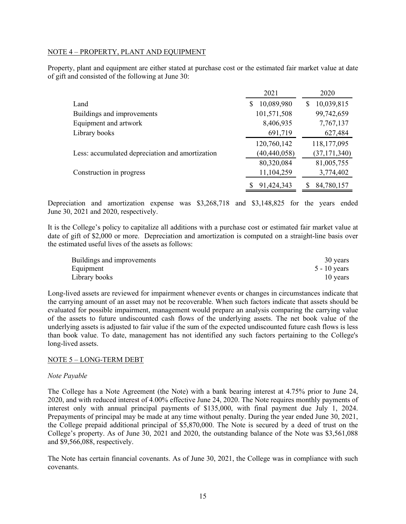# NOTE 4 – PROPERTY, PLANT AND EQUIPMENT

Property, plant and equipment are either stated at purchase cost or the estimated fair market value at date of gift and consisted of the following at June 30:

|                                                 | 2021            | 2020            |
|-------------------------------------------------|-----------------|-----------------|
| Land                                            | 10,089,980<br>S | 10,039,815<br>S |
| Buildings and improvements                      | 101,571,508     | 99,742,659      |
| Equipment and artwork                           | 8,406,935       | 7,767,137       |
| Library books                                   | 691,719         | 627,484         |
|                                                 | 120,760,142     | 118,177,095     |
| Less: accumulated depreciation and amortization | (40, 440, 058)  | (37, 171, 340)  |
|                                                 | 80,320,084      | 81,005,755      |
| Construction in progress                        | 11,104,259      | 3,774,402       |
|                                                 | 91,424,343      | 84,780,157      |

Depreciation and amortization expense was \$3,268,718 and \$3,148,825 for the years ended June 30, 2021 and 2020, respectively.

It is the College's policy to capitalize all additions with a purchase cost or estimated fair market value at date of gift of \$2,000 or more. Depreciation and amortization is computed on a straight-line basis over the estimated useful lives of the assets as follows:

| Buildings and improvements | 30 years       |
|----------------------------|----------------|
| Equipment                  | $5 - 10$ years |
| Library books              | 10 years       |

Long-lived assets are reviewed for impairment whenever events or changes in circumstances indicate that the carrying amount of an asset may not be recoverable. When such factors indicate that assets should be evaluated for possible impairment, management would prepare an analysis comparing the carrying value of the assets to future undiscounted cash flows of the underlying assets. The net book value of the underlying assets is adjusted to fair value if the sum of the expected undiscounted future cash flows is less than book value. To date, management has not identified any such factors pertaining to the College's long-lived assets.

#### NOTE 5 – LONG-TERM DEBT

#### *Note Payable*

The College has a Note Agreement (the Note) with a bank bearing interest at 4.75% prior to June 24, 2020, and with reduced interest of 4.00% effective June 24, 2020. The Note requires monthly payments of interest only with annual principal payments of \$135,000, with final payment due July 1, 2024. Prepayments of principal may be made at any time without penalty. During the year ended June 30, 2021, the College prepaid additional principal of \$5,870,000. The Note is secured by a deed of trust on the College's property. As of June 30, 2021 and 2020, the outstanding balance of the Note was \$3,561,088 and \$9,566,088, respectively.

The Note has certain financial covenants. As of June 30, 2021, the College was in compliance with such covenants.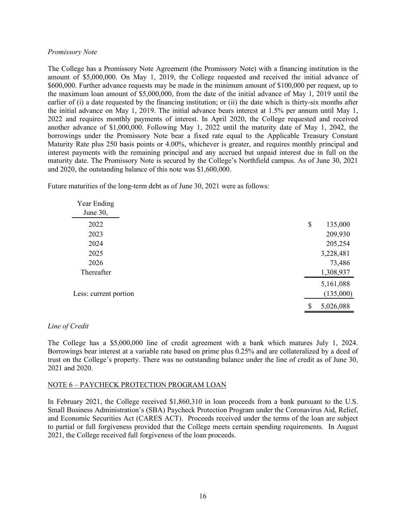## *Promissory Note*

The College has a Promissory Note Agreement (the Promissory Note) with a financing institution in the amount of \$5,000,000. On May 1, 2019, the College requested and received the initial advance of \$600,000. Further advance requests may be made in the minimum amount of \$100,000 per request, up to the maximum loan amount of \$5,000,000, from the date of the initial advance of May 1, 2019 until the earlier of (i) a date requested by the financing institution; or (ii) the date which is thirty-six months after the initial advance on May 1, 2019. The initial advance bears interest at 1.5% per annum until May 1, 2022 and requires monthly payments of interest. In April 2020, the College requested and received another advance of \$1,000,000. Following May 1, 2022 until the maturity date of May 1, 2042, the borrowings under the Promissory Note bear a fixed rate equal to the Applicable Treasury Constant Maturity Rate plus 250 basis points or 4.00%, whichever is greater, and requires monthly principal and interest payments with the remaining principal and any accrued but unpaid interest due in full on the maturity date. The Promissory Note is secured by the College's Northfield campus. As of June 30, 2021 and 2020, the outstanding balance of this note was \$1,600,000.

Future maturities of the long-term debt as of June 30, 2021 were as follows:

| Year Ending           |    |           |
|-----------------------|----|-----------|
| June 30,              |    |           |
| 2022                  | \$ | 135,000   |
| 2023                  |    | 209,930   |
| 2024                  |    | 205,254   |
| 2025                  |    | 3,228,481 |
| 2026                  |    | 73,486    |
| Thereafter            |    | 1,308,937 |
|                       |    | 5,161,088 |
| Less: current portion |    | (135,000) |
|                       | S  | 5,026,088 |

#### *Line of Credit*

The College has a \$5,000,000 line of credit agreement with a bank which matures July 1, 2024. Borrowings bear interest at a variable rate based on prime plus 0.25% and are collateralized by a deed of trust on the College's property. There was no outstanding balance under the line of credit as of June 30, 2021 and 2020.

#### NOTE 6 – PAYCHECK PROTECTION PROGRAM LOAN

In February 2021, the College received \$1,860,310 in loan proceeds from a bank pursuant to the U.S. Small Business Administration's (SBA) Paycheck Protection Program under the Coronavirus Aid, Relief, and Economic Securities Act (CARES ACT). Proceeds received under the terms of the loan are subject to partial or full forgiveness provided that the College meets certain spending requirements. In August 2021, the College received full forgiveness of the loan proceeds.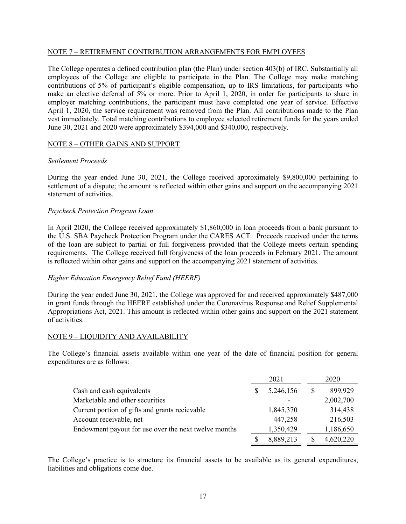#### NOTE 7 – RETIREMENT CONTRIBUTION ARRANGEMENTS FOR EMPLOYEES

The College operates a defined contribution plan (the Plan) under section 403(b) of IRC. Substantially all employees of the College are eligible to participate in the Plan. The College may make matching contributions of 5% of participant's eligible compensation, up to IRS limitations, for participants who make an elective deferral of 5% or more. Prior to April 1, 2020, in order for participants to share in employer matching contributions, the participant must have completed one year of service. Effective April 1, 2020, the service requirement was removed from the Plan. All contributions made to the Plan vest immediately. Total matching contributions to employee selected retirement funds for the years ended June 30, 2021 and 2020 were approximately \$394,000 and \$340,000, respectively.

#### NOTE 8 – OTHER GAINS AND SUPPORT

#### *Settlement Proceeds*

During the year ended June 30, 2021, the College received approximately \$9,800,000 pertaining to settlement of a dispute; the amount is reflected within other gains and support on the accompanying 2021 statement of activities.

#### *Paycheck Protection Program Loan*

In April 2020, the College received approximately \$1,860,000 in loan proceeds from a bank pursuant to the U.S. SBA Paycheck Protection Program under the CARES ACT. Proceeds received under the terms of the loan are subject to partial or full forgiveness provided that the College meets certain spending requirements. The College received full forgiveness of the loan proceeds in February 2021. The amount is reflected within other gains and support on the accompanying 2021 statement of activities.

# *Higher Education Emergency Relief Fund (HEERF)*

During the year ended June 30, 2021, the College was approved for and received approximately \$487,000 in grant funds through the HEERF established under the Coronavirus Response and Relief Supplemental Appropriations Act, 2021. This amount is reflected within other gains and support on the 2021 statement of activities.

#### NOTE 9 – LIQUIDITY AND AVAILABILITY

The College's financial assets available within one year of the date of financial position for general expenditures are as follows:

|                                                      | 2021      | 2020      |
|------------------------------------------------------|-----------|-----------|
| Cash and cash equivalents                            | 5,246,156 | 899,929   |
| Marketable and other securities                      |           | 2,002,700 |
| Current portion of gifts and grants recievable       | 1,845,370 | 314,438   |
| Account receivable, net                              | 447,258   | 216,503   |
| Endowment payout for use over the next twelve months | 1,350,429 | 1,186,650 |
|                                                      | 8,889,213 | 4,620,220 |

The College's practice is to structure its financial assets to be available as its general expenditures, liabilities and obligations come due.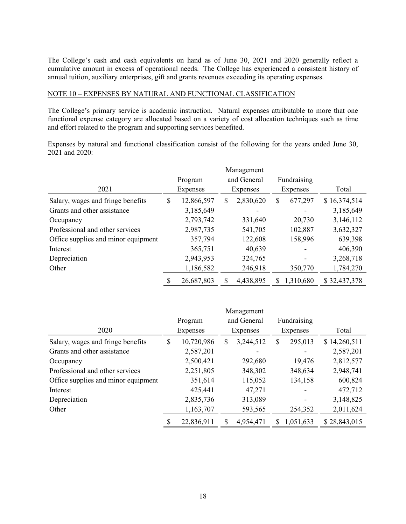The College's cash and cash equivalents on hand as of June 30, 2021 and 2020 generally reflect a cumulative amount in excess of operational needs. The College has experienced a consistent history of annual tuition, auxiliary enterprises, gift and grants revenues exceeding its operating expenses.

# NOTE 10 – EXPENSES BY NATURAL AND FUNCTIONAL CLASSIFICATION

The College's primary service is academic instruction. Natural expenses attributable to more that one functional expense category are allocated based on a variety of cost allocation techniques such as time and effort related to the program and supporting services benefited.

Expenses by natural and functional classification consist of the following for the years ended June 30, 2021 and 2020:

|                                     | Management |            |          |             |                 |             |              |
|-------------------------------------|------------|------------|----------|-------------|-----------------|-------------|--------------|
|                                     |            | Program    |          | and General |                 | Fundraising |              |
| 2021                                |            | Expenses   | Expenses |             | <b>Expenses</b> |             | Total        |
| Salary, wages and fringe benefits   | \$         | 12,866,597 | <b>S</b> | 2,830,620   | \$              | 677,297     | \$16,374,514 |
| Grants and other assistance         |            | 3,185,649  |          |             |                 |             | 3,185,649    |
| Occupancy                           |            | 2,793,742  |          | 331,640     |                 | 20,730      | 3,146,112    |
| Professional and other services     |            | 2,987,735  |          | 541,705     |                 | 102,887     | 3,632,327    |
| Office supplies and minor equipment |            | 357,794    |          | 122,608     |                 | 158,996     | 639,398      |
| Interest                            |            | 365,751    |          | 40,639      |                 |             | 406,390      |
| Depreciation                        |            | 2,943,953  |          | 324,765     |                 |             | 3,268,718    |
| Other                               |            | 1,186,582  |          | 246,918     |                 | 350,770     | 1,784,270    |
|                                     | \$         | 26,687,803 | S        | 4,438,895   | S               | 1,310,680   | \$32,437,378 |

| 2020                                | Program<br>Expenses | Management<br>and General<br>Expenses |           | Fundraising<br>Expenses |           | Total        |
|-------------------------------------|---------------------|---------------------------------------|-----------|-------------------------|-----------|--------------|
| Salary, wages and fringe benefits   | \$<br>10,720,986    | \$                                    | 3,244,512 | S                       | 295,013   | \$14,260,511 |
| Grants and other assistance         | 2,587,201           |                                       |           |                         |           | 2,587,201    |
| Occupancy                           | 2,500,421           |                                       | 292,680   |                         | 19,476    | 2,812,577    |
| Professional and other services     | 2,251,805           |                                       | 348,302   |                         | 348,634   | 2,948,741    |
| Office supplies and minor equipment | 351,614             |                                       | 115,052   |                         | 134,158   | 600,824      |
| Interest                            | 425,441             |                                       | 47,271    |                         |           | 472,712      |
| Depreciation                        | 2,835,736           |                                       | 313,089   |                         |           | 3,148,825    |
| Other                               | 1,163,707           |                                       | 593,565   |                         | 254,352   | 2,011,624    |
|                                     | \$<br>22,836,911    |                                       | 4,954,471 | S                       | 1,051,633 | \$28,843,015 |